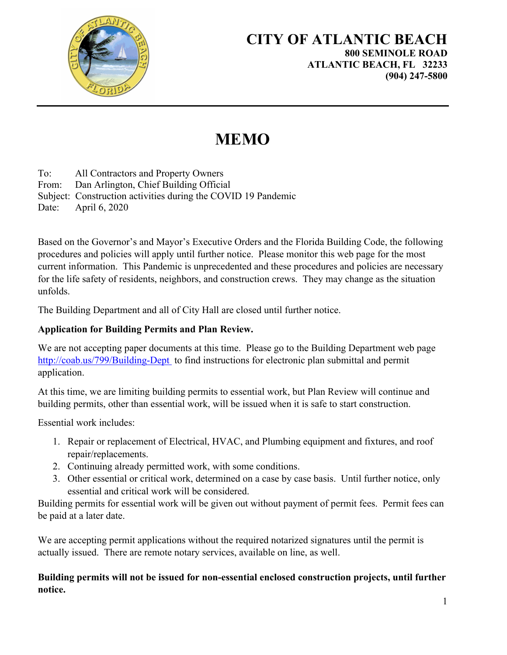

## **MEMO**

To: All Contractors and Property Owners From: Dan Arlington, Chief Building Official Subject: Construction activities during the COVID 19 Pandemic Date: April 6, 2020

Based on the Governor's and Mayor's Executive Orders and the Florida Building Code, the following procedures and policies will apply until further notice. Please monitor this web page for the most current information. This Pandemic is unprecedented and these procedures and policies are necessary for the life safety of residents, neighbors, and construction crews. They may change as the situation unfolds.

The Building Department and all of City Hall are closed until further notice.

## **Application for Building Permits and Plan Review.**

We are not accepting paper documents at this time. Please go to the Building Department web page http://coab.us/799/Building-Dept to find instructions for electronic plan submittal and permit application.

At this time, we are limiting building permits to essential work, but Plan Review will continue and building permits, other than essential work, will be issued when it is safe to start construction.

Essential work includes:

- 1. Repair or replacement of Electrical, HVAC, and Plumbing equipment and fixtures, and roof repair/replacements.
- 2. Continuing already permitted work, with some conditions.
- 3. Other essential or critical work, determined on a case by case basis. Until further notice, only essential and critical work will be considered.

Building permits for essential work will be given out without payment of permit fees. Permit fees can be paid at a later date.

We are accepting permit applications without the required notarized signatures until the permit is actually issued. There are remote notary services, available on line, as well.

## **Building permits will not be issued for non-essential enclosed construction projects, until further notice.**